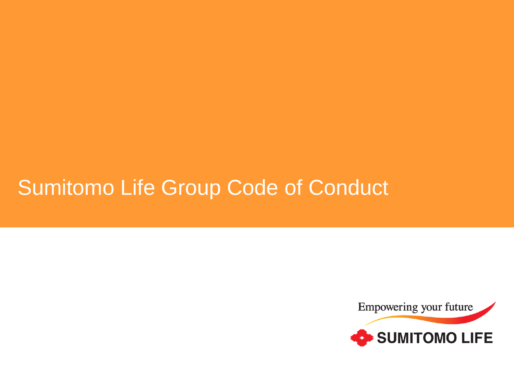# Sumitomo Life Group Code of Conduct

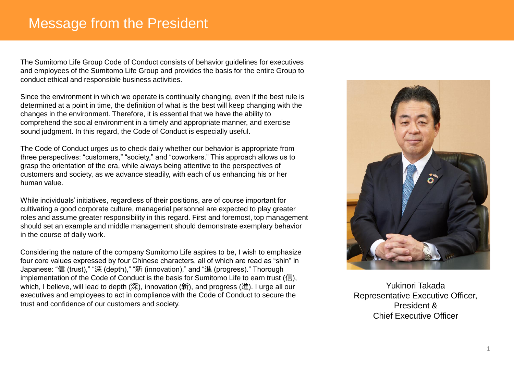## Message from the President

The Sumitomo Life Group Code of Conduct consists of behavior guidelines for executives and employees of the Sumitomo Life Group and provides the basis for the entire Group to conduct ethical and responsible business activities.

Since the environment in which we operate is continually changing, even if the best rule is determined at a point in time, the definition of what is the best will keep changing with the changes in the environment. Therefore, it is essential that we have the ability to comprehend the social environment in a timely and appropriate manner, and exercise sound judgment. In this regard, the Code of Conduct is especially useful.

The Code of Conduct urges us to check daily whether our behavior is appropriate from three perspectives: "customers," "society," and "coworkers." This approach allows us to grasp the orientation of the era, while always being attentive to the perspectives of customers and society, as we advance steadily, with each of us enhancing his or her human value.

While individuals' initiatives, regardless of their positions, are of course important for cultivating a good corporate culture, managerial personnel are expected to play greater roles and assume greater responsibility in this regard. First and foremost, top management should set an example and middle management should demonstrate exemplary behavior in the course of daily work.

Considering the nature of the company Sumitomo Life aspires to be, I wish to emphasize four core values expressed by four Chinese characters, all of which are read as "shin" in Japanese: "信 (trust)," "深 (depth)," "新 (innovation)," and "進 (progress)." Thorough implementation of the Code of Conduct is the basis for Sumitomo Life to earn trust (信), which, I believe, will lead to depth (深), innovation (新), and progress (進). I urge all our executives and employees to act in compliance with the Code of Conduct to secure the trust and confidence of our customers and society.



Yukinori Takada Representative Executive Officer, President & Chief Executive Officer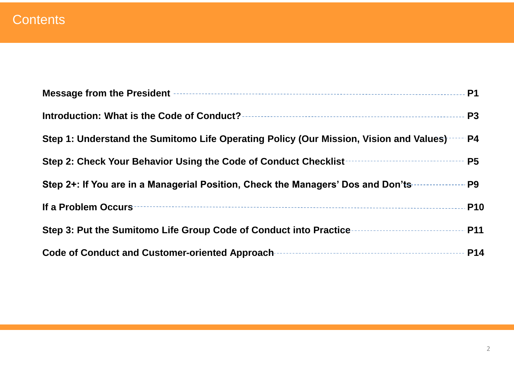|                                                                                                                                                                     | <b>P1</b>      |
|---------------------------------------------------------------------------------------------------------------------------------------------------------------------|----------------|
|                                                                                                                                                                     | P <sub>3</sub> |
| Step 1: Understand the Sumitomo Life Operating Policy (Our Mission, Vision and Values)                                                                              | $-$ P4         |
| Step 2: Check Your Behavior Using the Code of Conduct Checklist                                                                                                     | <b>P5</b>      |
| Step 2+: If You are in a Managerial Position, Check the Managers' Dos and Don'ts                                                                                    | P <sub>9</sub> |
| If a Problem Occurs                                                                                                                                                 | <b>P10</b>     |
| Step 3: Put the Sumitomo Life Group Code of Conduct into Practice <b>For Allegan Step 3:</b> Put the Sumitomo Life Group Code of Conduct into Practice <b>Frame</b> | <b>P11</b>     |
| <b>Code of Conduct and Customer-oriented Approach-</b>                                                                                                              | <b>P14</b>     |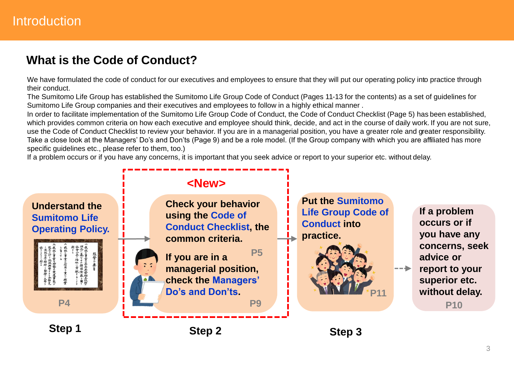## **What is the Code of Conduct?**

We have formulated the code of conduct for our executives and employees to ensure that they will put our operating policy into practice through their conduct.

The Sumitomo Life Group has established the Sumitomo Life Group Code of Conduct (Pages 11-13 for the contents) as a set of guidelines for Sumitomo Life Group companies and their executives and employees to follow in a highly ethical manner .

In order to facilitate implementation of the Sumitomo Life Group Code of Conduct, the Code of Conduct Checklist (Page 5) has been established, which provides common criteria on how each executive and employee should think, decide, and act in the course of daily work. If you are not sure, use the Code of Conduct Checklist to review your behavior. If you are in a managerial position, you have a greater role and greater responsibility. Take a close look at the Managers' Do's and Don'ts (Page 9) and be a role model. (If the Group company with which you are affiliated has more specific guidelines etc., please refer to them, too.)

If a problem occurs or if you have any concerns, it is important that you seek advice or report to your superior etc. without delay.

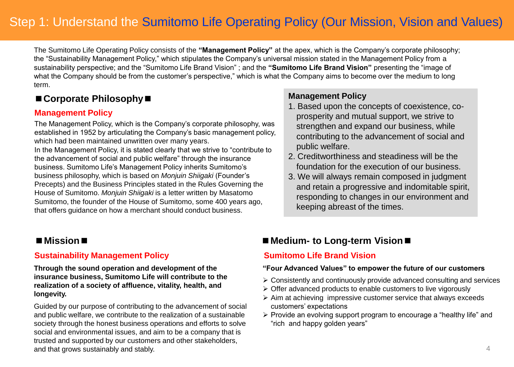## Step 1: Understand the Sumitomo Life Operating Policy (Our Mission, Vision and Values)

The Sumitomo Life Operating Policy consists of the **"Management Policy"** at the apex, which is the Company's corporate philosophy; the "Sustainability Management Policy," which stipulates the Company's universal mission stated in the Management Policy from a sustainability perspective; and the "Sumitomo Life Brand Vision" ; and the **"Sumitomo Life Brand Vision"** presenting the "image of what the Company should be from the customer's perspective," which is what the Company aims to become over the medium to long term.

#### **■Corporate Philosophy■**

#### **Management Policy**

The Management Policy, which is the Company's corporate philosophy, was established in 1952 by articulating the Company's basic management policy, which had been maintained unwritten over many years.

In the Management Policy, it is stated clearly that we strive to "contribute to the advancement of social and public welfare" through the insurance business. Sumitomo Life's Management Policy inherits Sumitomo's business philosophy, which is based on *Monjuin Shiigaki* (Founder's Precepts) and the Business Principles stated in the Rules Governing the House of Sumitomo. *Monjuin Shiigaki* is a letter written by Masatomo Sumitomo, the founder of the House of Sumitomo, some 400 years ago, that offers guidance on how a merchant should conduct business.

#### **Sustainability Management Policy**

**Through the sound operation and development of the insurance business, Sumitomo Life will contribute to the realization of a society of affluence, vitality, health, and longevity.**

Guided by our purpose of contributing to the advancement of social and public welfare, we contribute to the realization of a sustainable society through the honest business operations and efforts to solve social and environmental issues, and aim to be a company that is trusted and supported by our customers and other stakeholders, and that grows sustainably and stably.

#### **Management Policy**

- 1. Based upon the concepts of coexistence, coprosperity and mutual support, we strive to strengthen and expand our business, while contributing to the advancement of social and public welfare.
- 2. Creditworthiness and steadiness will be the foundation for the execution of our business.
- 3. We will always remain composed in judgment and retain a progressive and indomitable spirit, responding to changes in our environment and keeping abreast of the times.

#### **■Mission■ ■Medium- to Long-term Vision■**

#### **Sumitomo Life Brand Vision**

#### **"Four Advanced Values" to empower the future of our customers**

- ➢ Consistently and continuously provide advanced consulting and services
- ➢ Offer advanced products to enable customers to live vigorously
- ➢ Aim at achieving impressive customer service that always exceeds customers' expectations
- ➢ Provide an evolving support program to encourage a "healthy life" and "rich and happy golden years"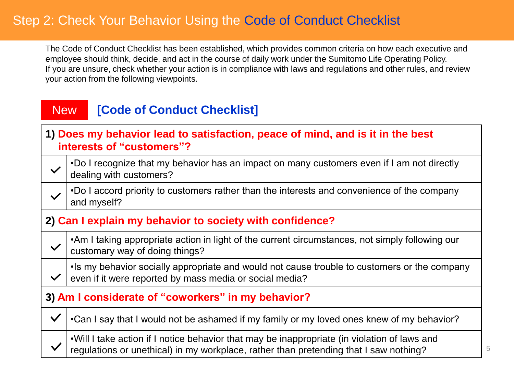## Step 2: Check Your Behavior Using the Code of Conduct Checklist

The Code of Conduct Checklist has been established, which provides common criteria on how each executive and employee should think, decide, and act in the course of daily work under the Sumitomo Life Operating Policy. If you are unsure, check whether your action is in compliance with laws and regulations and other rules, and review your action from the following viewpoints.

#### **[Code of Conduct Checklist] New**

#### **1) Does my behavior lead to satisfaction, peace of mind, and is it in the best interests of "customers"?**

- •Do I recognize that my behavior has an impact on many customers even if I am not directly  $\checkmark$ dealing with customers?
	- •Do I accord priority to customers rather than the interests and convenience of the company and myself?

#### **2) Can I explain my behavior to society with confidence?**

- •Am I taking appropriate action in light of the current circumstances, not simply following our customary way of doing things?
- •Is my behavior socially appropriate and would not cause trouble to customers or the company even if it were reported by mass media or social media?

#### **3) Am I considerate of "coworkers" in my behavior?**

 $\checkmark$ 

 $\checkmark$ •Can I say that I would not be ashamed if my family or my loved ones knew of my behavior?

•Will I take action if I notice behavior that may be inappropriate (in violation of laws and regulations or unethical) in my workplace, rather than pretending that I saw nothing?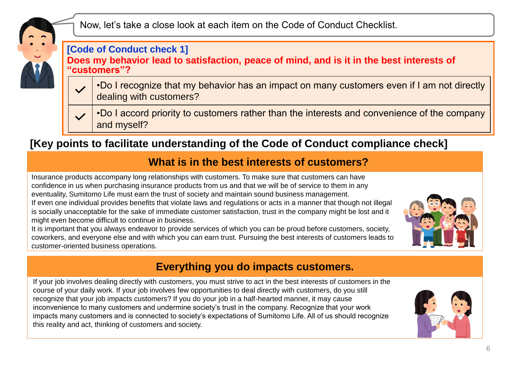

Now, let's take a close look at each item on the Code of Conduct Checklist.

#### **[Code of Conduct check 1]**

**Does my behavior lead to satisfaction, peace of mind, and is it in the best interests of "customers"?**

- •Do I recognize that my behavior has an impact on many customers even if I am not directly dealing with customers?
- •Do I accord priority to customers rather than the interests and convenience of the company and myself?

## **[Key points to facilitate understanding of the Code of Conduct compliance check]**

#### **What is in the best interests of customers?**

Insurance products accompany long relationships with customers. To make sure that customers can have confidence in us when purchasing insurance products from us and that we will be of service to them in any eventuality, Sumitomo Life must earn the trust of society and maintain sound business management.

If even one individual provides benefits that violate laws and regulations or acts in a manner that though not illegal is socially unacceptable for the sake of immediate customer satisfaction, trust in the company might be lost and it might even become difficult to continue in business.

It is important that you always endeavor to provide services of which you can be proud before customers, society, coworkers, and everyone else and with which you can earn trust. Pursuing the best interests of customers leads to customer-oriented business operations.



## **Everything you do impacts customers.**

If your job involves dealing directly with customers, you must strive to act in the best interests of customers in the course of your daily work. If your job involves few opportunities to deal directly with customers, do you still recognize that your job impacts customers? If you do your job in a half-hearted manner, it may cause inconvenience to many customers and undermine society's trust in the company. Recognize that your work impacts many customers and is connected to society's expectations of Sumitomo Life. All of us should recognize this reality and act, thinking of customers and society.

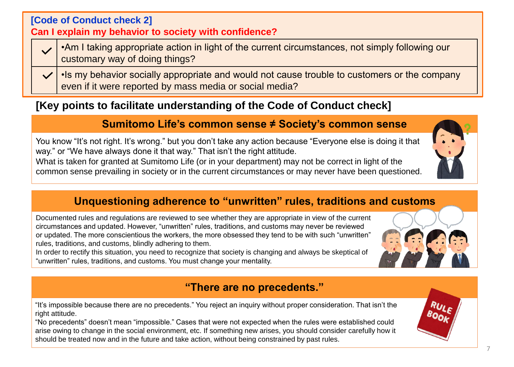| [Code of Conduct check 2]<br>Can I explain my behavior to society with confidence? |                                                                                                                                                                               |  |  |  |
|------------------------------------------------------------------------------------|-------------------------------------------------------------------------------------------------------------------------------------------------------------------------------|--|--|--|
|                                                                                    | .Am I taking appropriate action in light of the current circumstances, not simply following our<br>customary way of doing things?                                             |  |  |  |
|                                                                                    | $\sqrt{\phantom{a}}$ . Is my behavior socially appropriate and would not cause trouble to customers or the company<br>even if it were reported by mass media or social media? |  |  |  |

## **[Key points to facilitate understanding of the Code of Conduct check]**

#### **Sumitomo Life's common sense ≠ Society's common sense**

You know "It's not right. It's wrong." but you don't take any action because "Everyone else is doing it that way." or "We have always done it that way." That isn't the right attitude.

What is taken for granted at Sumitomo Life (or in your department) may not be correct in light of the common sense prevailing in society or in the current circumstances or may never have been questioned.

#### **Unquestioning adherence to "unwritten" rules, traditions and customs**

Documented rules and regulations are reviewed to see whether they are appropriate in view of the current circumstances and updated. However, "unwritten" rules, traditions, and customs may never be reviewed or updated. The more conscientious the workers, the more obsessed they tend to be with such "unwritten" rules, traditions, and customs, blindly adhering to them.

In order to rectify this situation, you need to recognize that society is changing and always be skeptical of "unwritten" rules, traditions, and customs. You must change your mentality.

#### **"There are no precedents."**

"It's impossible because there are no precedents." You reject an inquiry without proper consideration. That isn't the right attitude.

"No precedents" doesn't mean "impossible." Cases that were not expected when the rules were established could arise owing to change in the social environment, etc. If something new arises, you should consider carefully how it should be treated now and in the future and take action, without being constrained by past rules.





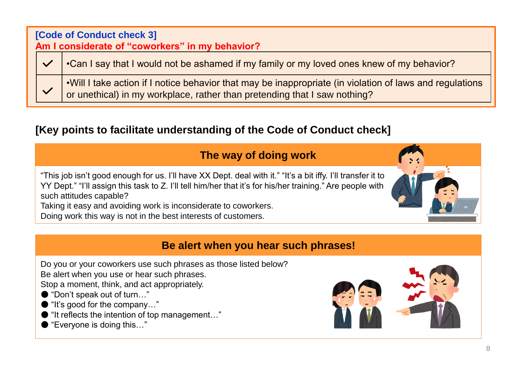| [Code of Conduct check 3]<br>Am I considerate of "coworkers" in my behavior? |  |                                                                                                                                                                                        |  |
|------------------------------------------------------------------------------|--|----------------------------------------------------------------------------------------------------------------------------------------------------------------------------------------|--|
|                                                                              |  | •Can I say that I would not be ashamed if my family or my loved ones knew of my behavior?                                                                                              |  |
|                                                                              |  | . Will I take action if I notice behavior that may be inappropriate (in violation of laws and regulations<br>or unethical) in my workplace, rather than pretending that I saw nothing? |  |

## **[Key points to facilitate understanding of the Code of Conduct check]**

## **The way of doing work**

"This job isn't good enough for us. I'll have XX Dept. deal with it." "It's a bit iffy. I'll transfer it to YY Dept." "I'll assign this task to Z. I'll tell him/her that it's for his/her training." Are people with such attitudes capable?

Taking it easy and avoiding work is inconsiderate to coworkers.

Doing work this way is not in the best interests of customers.

### **Be alert when you hear such phrases!**

Do you or your coworkers use such phrases as those listed below?

Be alert when you use or hear such phrases.

Stop a moment, think, and act appropriately.

- "Don't speak out of turn..."
- "It's good for the company..."
- "It reflects the intention of top management..."
- "Everyone is doing this..."



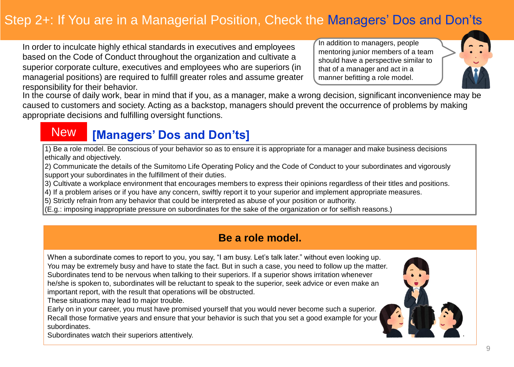## Step 2+: If You are in a Managerial Position, Check the Managers' Dos and Don'ts

In order to inculcate highly ethical standards in executives and employees based on the Code of Conduct throughout the organization and cultivate a superior corporate culture, executives and employees who are superiors (in managerial positions) are required to fulfill greater roles and assume greater responsibility for their behavior.

In addition to managers, people mentoring junior members of a team should have a perspective similar to that of a manager and act in a manner befitting a role model.



In the course of daily work, bear in mind that if you, as a manager, make a wrong decision, significant inconvenience may be caused to customers and society. Acting as a backstop, managers should prevent the occurrence of problems by making appropriate decisions and fulfilling oversight functions.

## New **[Managers' Dos and Don'ts]**

1) Be a role model. Be conscious of your behavior so as to ensure it is appropriate for a manager and make business decisions ethically and objectively.

2) Communicate the details of the Sumitomo Life Operating Policy and the Code of Conduct to your subordinates and vigorously support your subordinates in the fulfillment of their duties.

- 3) Cultivate a workplace environment that encourages members to express their opinions regardless of their titles and positions.
- 4) If a problem arises or if you have any concern, swiftly report it to your superior and implement appropriate measures.
- 5) Strictly refrain from any behavior that could be interpreted as abuse of your position or authority.
- (E.g.: imposing inappropriate pressure on subordinates for the sake of the organization or for selfish reasons.)

## **Be a role model.**

When a subordinate comes to report to you, you say, "I am busy. Let's talk later." without even looking up. You may be extremely busy and have to state the fact. But in such a case, you need to follow up the matter. Subordinates tend to be nervous when talking to their superiors. If a superior shows irritation whenever he/she is spoken to, subordinates will be reluctant to speak to the superior, seek advice or even make an important report, with the result that operations will be obstructed.

These situations may lead to major trouble.

Early on in your career, you must have promised yourself that you would never become such a superior. Recall those formative years and ensure that your behavior is such that you set a good example for your subordinates.



Subordinates watch their superiors attentively.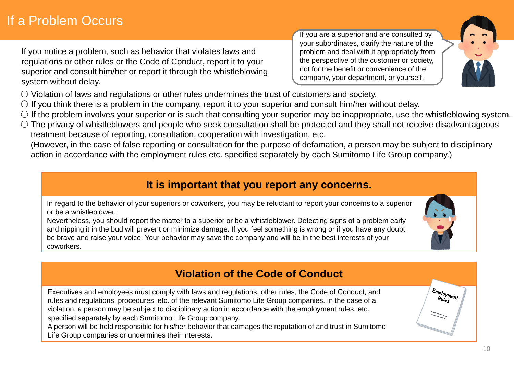If you notice a problem, such as behavior that violates laws and regulations or other rules or the Code of Conduct, report it to your superior and consult him/her or report it through the whistleblowing system without delay.

If you are a superior and are consulted by your subordinates, clarify the nature of the problem and deal with it appropriately from the perspective of the customer or society, not for the benefit or convenience of the company, your department, or yourself.



- Violation of laws and regulations or other rules undermines the trust of customers and society.
- $\circ$  If you think there is a problem in the company, report it to your superior and consult him/her without delay.
- $\circ$  If the problem involves your superior or is such that consulting your superior may be inappropriate, use the whistleblowing system.
- The privacy of whistleblowers and people who seek consultation shall be protected and they shall not receive disadvantageous treatment because of reporting, consultation, cooperation with investigation, etc.

(However, in the case of false reporting or consultation for the purpose of defamation, a person may be subject to disciplinary action in accordance with the employment rules etc. specified separately by each Sumitomo Life Group company.)

## **It is important that you report any concerns.**

In regard to the behavior of your superiors or coworkers, you may be reluctant to report your concerns to a superior or be a whistleblower.

Nevertheless, you should report the matter to a superior or be a whistleblower. Detecting signs of a problem early and nipping it in the bud will prevent or minimize damage. If you feel something is wrong or if you have any doubt, be brave and raise your voice. Your behavior may save the company and will be in the best interests of your coworkers.

## **Violation of the Code of Conduct**

Executives and employees must comply with laws and regulations, other rules, the Code of Conduct, and rules and regulations, procedures, etc. of the relevant Sumitomo Life Group companies. In the case of a violation, a person may be subject to disciplinary action in accordance with the employment rules, etc. specified separately by each Sumitomo Life Group company.

A person will be held responsible for his/her behavior that damages the reputation of and trust in Sumitomo Life Group companies or undermines their interests.



 $\left/ \frac{E_{\text{mploymen}}}{R_{\text{Uleg}}} \right.$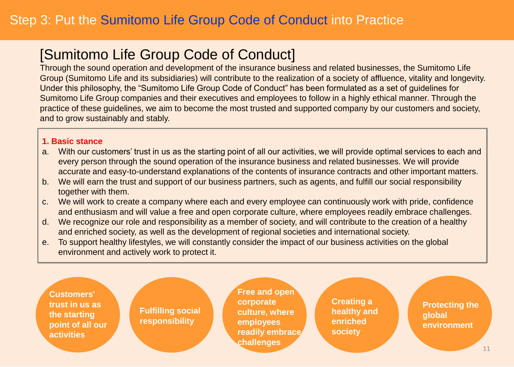## [Sumitomo Life Group Code of Conduct]

Through the sound operation and development of the insurance business and related businesses, the Sumitomo Life Group (Sumitomo Life and its subsidiaries) will contribute to the realization of a society of affluence, vitality and longevity. Under this philosophy, the "Sumitomo Life Group Code of Conduct" has been formulated as a set of guidelines for Sumitomo Life Group companies and their executives and employees to follow in a highly ethical manner. Through the practice of these guidelines, we aim to become the most trusted and supported company by our customers and society, and to grow sustainably and stably.

#### **1. Basic stance**

- a. With our customers' trust in us as the starting point of all our activities, we will provide optimal services to each and every person through the sound operation of the insurance business and related businesses. We will provide accurate and easy-to-understand explanations of the contents of insurance contracts and other important matters.
- b. We will earn the trust and support of our business partners, such as agents, and fulfill our social responsibility together with them.
- c. We will work to create a company where each and every employee can continuously work with pride, confidence and enthusiasm and will value a free and open corporate culture, where employees readily embrace challenges.
- d. We recognize our role and responsibility as a member of society, and will contribute to the creation of a healthy and enriched society, as well as the development of regional societies and international society.
- e. To support healthy lifestyles, we will constantly consider the impact of our business activities on the global environment and actively work to protect it.

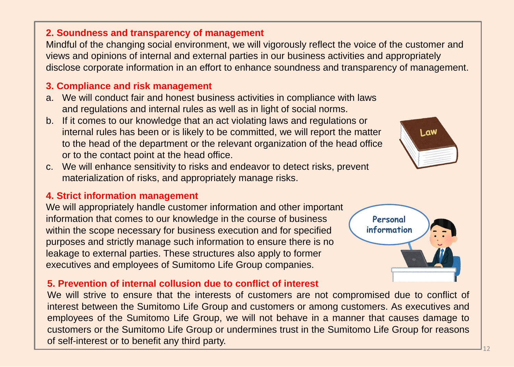#### **2. Soundness and transparency of management**

Mindful of the changing social environment, we will vigorously reflect the voice of the customer and views and opinions of internal and external parties in our business activities and appropriately disclose corporate information in an effort to enhance soundness and transparency of management.

#### **3. Compliance and risk management**

- a. We will conduct fair and honest business activities in compliance with laws and regulations and internal rules as well as in light of social norms.
- b. If it comes to our knowledge that an act violating laws and regulations or internal rules has been or is likely to be committed, we will report the matter to the head of the department or the relevant organization of the head office or to the contact point at the head office.
- c. We will enhance sensitivity to risks and endeavor to detect risks, prevent materialization of risks, and appropriately manage risks.

#### **4. Strict information management**

We will appropriately handle customer information and other important information that comes to our knowledge in the course of business within the scope necessary for business execution and for specified purposes and strictly manage such information to ensure there is no leakage to external parties. These structures also apply to former executives and employees of Sumitomo Life Group companies.

#### **5. Prevention of internal collusion due to conflict of interest**

We will strive to ensure that the interests of customers are not compromised due to conflict of interest between the Sumitomo Life Group and customers or among customers. As executives and employees of the Sumitomo Life Group, we will not behave in a manner that causes damage to customers or the Sumitomo Life Group or undermines trust in the Sumitomo Life Group for reasons of self-interest or to benefit any third party.



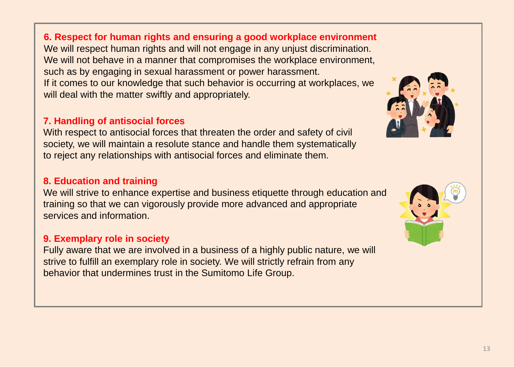**6. Respect for human rights and ensuring a good workplace environment** We will respect human rights and will not engage in any unjust discrimination. We will not behave in a manner that compromises the workplace environment, such as by engaging in sexual harassment or power harassment. If it comes to our knowledge that such behavior is occurring at workplaces, we will deal with the matter swiftly and appropriately.

#### **7. Handling of antisocial forces**

With respect to antisocial forces that threaten the order and safety of civil society, we will maintain a resolute stance and handle them systematically to reject any relationships with antisocial forces and eliminate them.

#### **8. Education and training**

We will strive to enhance expertise and business etiquette through education and training so that we can vigorously provide more advanced and appropriate services and information.

#### **9. Exemplary role in society**

Fully aware that we are involved in a business of a highly public nature, we will strive to fulfill an exemplary role in society. We will strictly refrain from any behavior that undermines trust in the Sumitomo Life Group.



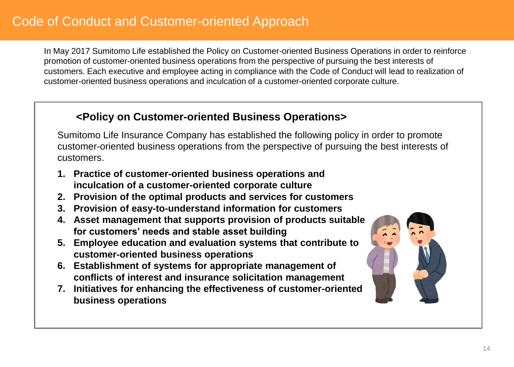In May 2017 Sumitomo Life established the Policy on Customer-oriented Business Operations in order to reinforce promotion of customer-oriented business operations from the perspective of pursuing the best interests of customers. Each executive and employee acting in compliance with the Code of Conduct will lead to realization of customer-oriented business operations and inculcation of a customer-oriented corporate culture.

#### **<Policy on Customer-oriented Business Operations>**

Sumitomo Life Insurance Company has established the following policy in order to promote customer-oriented business operations from the perspective of pursuing the best interests of customers.

- **1. Practice of customer-oriented business operations and inculcation of a customer-oriented corporate culture**
- **2. Provision of the optimal products and services for customers**
- **3. Provision of easy-to-understand information for customers**
- **4. Asset management that supports provision of products suitable for customers' needs and stable asset building**
- **5. Employee education and evaluation systems that contribute to customer-oriented business operations**
- **6. Establishment of systems for appropriate management of conflicts of interest and insurance solicitation management**
- **7. Initiatives for enhancing the effectiveness of customer-oriented business operations**